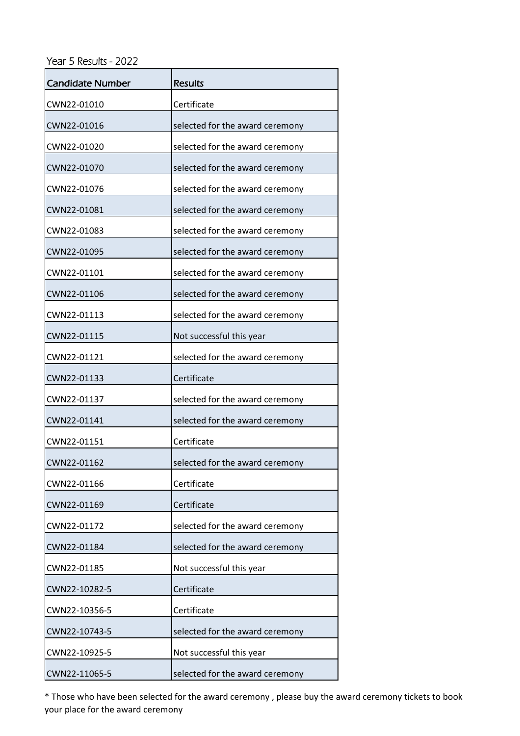Year 5 Results - 2022

| <b>Candidate Number</b> | <b>Results</b>                  |
|-------------------------|---------------------------------|
| CWN22-01010             | Certificate                     |
| CWN22-01016             | selected for the award ceremony |
| CWN22-01020             | selected for the award ceremony |
| CWN22-01070             | selected for the award ceremony |
| CWN22-01076             | selected for the award ceremony |
| CWN22-01081             | selected for the award ceremony |
| CWN22-01083             | selected for the award ceremony |
| CWN22-01095             | selected for the award ceremony |
| CWN22-01101             | selected for the award ceremony |
| CWN22-01106             | selected for the award ceremony |
| CWN22-01113             | selected for the award ceremony |
| CWN22-01115             | Not successful this year        |
| CWN22-01121             | selected for the award ceremony |
| CWN22-01133             | Certificate                     |
| CWN22-01137             | selected for the award ceremony |
| CWN22-01141             | selected for the award ceremony |
| CWN22-01151             | Certificate                     |
| CWN22-01162             | selected for the award ceremony |
| CWN22-01166             | Certificate                     |
| CWN22-01169             | Certificate                     |
| CWN22-01172             | selected for the award ceremony |
| CWN22-01184             | selected for the award ceremony |
| CWN22-01185             | Not successful this year        |
| CWN22-10282-5           | Certificate                     |
| CWN22-10356-5           | Certificate                     |
| CWN22-10743-5           | selected for the award ceremony |
| CWN22-10925-5           | Not successful this year        |
| CWN22-11065-5           | selected for the award ceremony |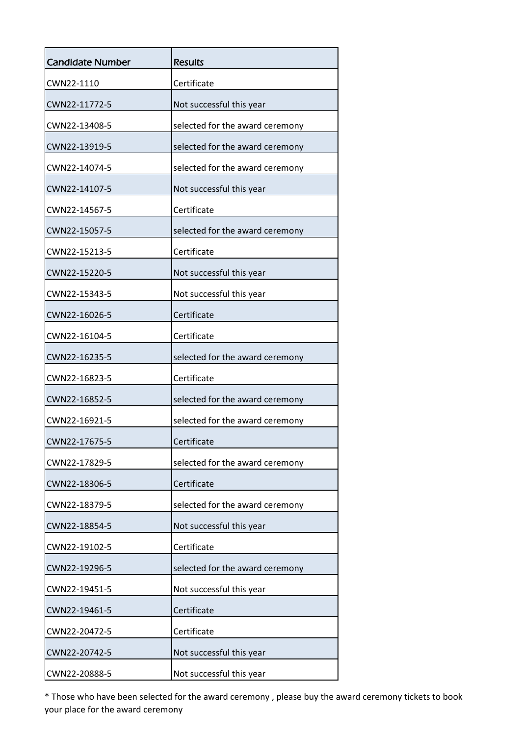| <b>Candidate Number</b> | <b>Results</b>                  |
|-------------------------|---------------------------------|
| CWN22-1110              | Certificate                     |
| CWN22-11772-5           | Not successful this year        |
| CWN22-13408-5           | selected for the award ceremony |
| CWN22-13919-5           | selected for the award ceremony |
| CWN22-14074-5           | selected for the award ceremony |
| CWN22-14107-5           | Not successful this year        |
| CWN22-14567-5           | Certificate                     |
| CWN22-15057-5           | selected for the award ceremony |
| CWN22-15213-5           | Certificate                     |
| CWN22-15220-5           | Not successful this year        |
| CWN22-15343-5           | Not successful this year        |
| CWN22-16026-5           | Certificate                     |
| CWN22-16104-5           | Certificate                     |
| CWN22-16235-5           | selected for the award ceremony |
| CWN22-16823-5           | Certificate                     |
| CWN22-16852-5           | selected for the award ceremony |
| CWN22-16921-5           | selected for the award ceremony |
| CWN22-17675-5           | Certificate                     |
| CWN22-17829-5           | selected for the award ceremony |
| CWN22-18306-5           | Certificate                     |
| CWN22-18379-5           | selected for the award ceremony |
| CWN22-18854-5           | Not successful this year        |
| CWN22-19102-5           | Certificate                     |
| CWN22-19296-5           | selected for the award ceremony |
| CWN22-19451-5           | Not successful this year        |
| CWN22-19461-5           | Certificate                     |
| CWN22-20472-5           | Certificate                     |
| CWN22-20742-5           | Not successful this year        |
| CWN22-20888-5           | Not successful this year        |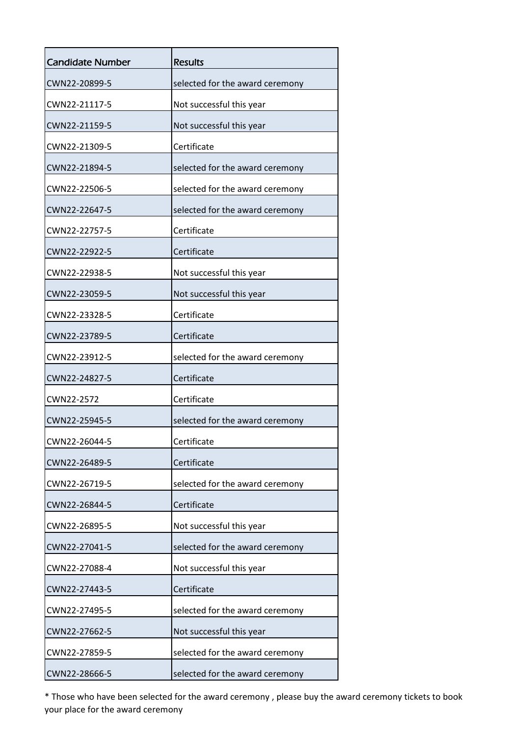| <b>Candidate Number</b> | <b>Results</b>                  |
|-------------------------|---------------------------------|
| CWN22-20899-5           | selected for the award ceremony |
| CWN22-21117-5           | Not successful this year        |
| CWN22-21159-5           | Not successful this year        |
| CWN22-21309-5           | Certificate                     |
| CWN22-21894-5           | selected for the award ceremony |
| CWN22-22506-5           | selected for the award ceremony |
| CWN22-22647-5           | selected for the award ceremony |
| CWN22-22757-5           | Certificate                     |
| CWN22-22922-5           | Certificate                     |
| CWN22-22938-5           | Not successful this year        |
| CWN22-23059-5           | Not successful this year        |
| CWN22-23328-5           | Certificate                     |
| CWN22-23789-5           | Certificate                     |
| CWN22-23912-5           | selected for the award ceremony |
| CWN22-24827-5           | Certificate                     |
| CWN22-2572              | Certificate                     |
| CWN22-25945-5           | selected for the award ceremony |
| CWN22-26044-5           | Certificate                     |
| CWN22-26489-5           | Certificate                     |
| CWN22-26719-5           | selected for the award ceremony |
| CWN22-26844-5           | Certificate                     |
| CWN22-26895-5           | Not successful this year        |
| CWN22-27041-5           | selected for the award ceremony |
| CWN22-27088-4           | Not successful this year        |
| CWN22-27443-5           | Certificate                     |
| CWN22-27495-5           | selected for the award ceremony |
| CWN22-27662-5           | Not successful this year        |
| CWN22-27859-5           | selected for the award ceremony |
| CWN22-28666-5           | selected for the award ceremony |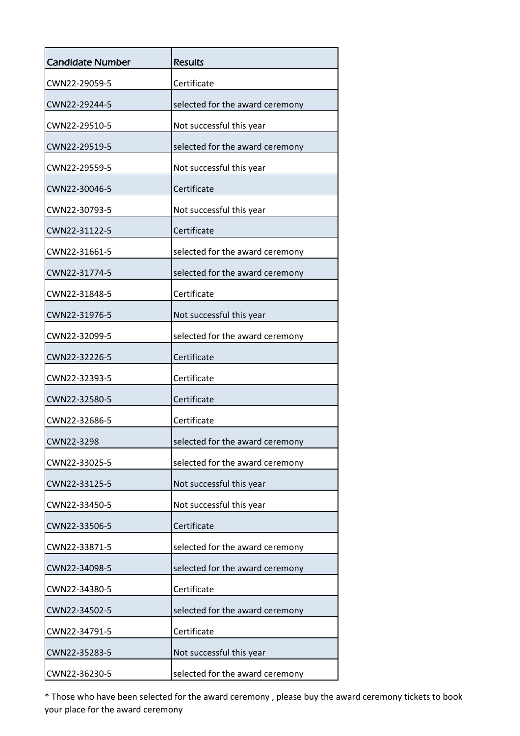| <b>Candidate Number</b> | <b>Results</b>                  |
|-------------------------|---------------------------------|
| CWN22-29059-5           | Certificate                     |
| CWN22-29244-5           | selected for the award ceremony |
| CWN22-29510-5           | Not successful this year        |
| CWN22-29519-5           | selected for the award ceremony |
| CWN22-29559-5           | Not successful this year        |
| CWN22-30046-5           | Certificate                     |
| CWN22-30793-5           | Not successful this year        |
| CWN22-31122-5           | Certificate                     |
| CWN22-31661-5           | selected for the award ceremony |
| CWN22-31774-5           | selected for the award ceremony |
| CWN22-31848-5           | Certificate                     |
| CWN22-31976-5           | Not successful this year        |
| CWN22-32099-5           | selected for the award ceremony |
| CWN22-32226-5           | Certificate                     |
| CWN22-32393-5           | Certificate                     |
| CWN22-32580-5           | Certificate                     |
| CWN22-32686-5           | Certificate                     |
| CWN22-3298              | selected for the award ceremony |
| CWN22-33025-5           | selected for the award ceremony |
| CWN22-33125-5           | Not successful this year        |
| CWN22-33450-5           | Not successful this year        |
| CWN22-33506-5           | Certificate                     |
| CWN22-33871-5           | selected for the award ceremony |
| CWN22-34098-5           | selected for the award ceremony |
| CWN22-34380-5           | Certificate                     |
| CWN22-34502-5           | selected for the award ceremony |
| CWN22-34791-5           | Certificate                     |
| CWN22-35283-5           | Not successful this year        |
| CWN22-36230-5           | selected for the award ceremony |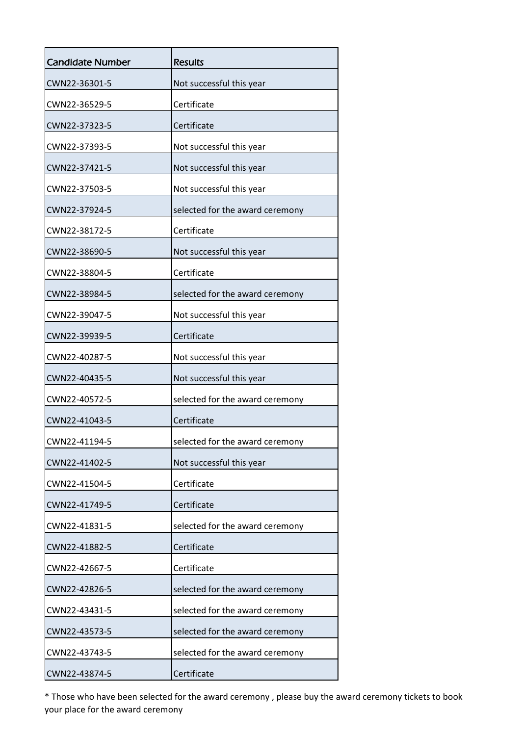| <b>Candidate Number</b> | <b>Results</b>                  |
|-------------------------|---------------------------------|
| CWN22-36301-5           | Not successful this year        |
| CWN22-36529-5           | Certificate                     |
| CWN22-37323-5           | Certificate                     |
| CWN22-37393-5           | Not successful this year        |
| CWN22-37421-5           | Not successful this year        |
| CWN22-37503-5           | Not successful this year        |
| CWN22-37924-5           | selected for the award ceremony |
| CWN22-38172-5           | Certificate                     |
| CWN22-38690-5           | Not successful this year        |
| CWN22-38804-5           | Certificate                     |
| CWN22-38984-5           | selected for the award ceremony |
| CWN22-39047-5           | Not successful this year        |
| CWN22-39939-5           | Certificate                     |
| CWN22-40287-5           | Not successful this year        |
| CWN22-40435-5           | Not successful this year        |
| CWN22-40572-5           | selected for the award ceremony |
| CWN22-41043-5           | Certificate                     |
| CWN22-41194-5           | selected for the award ceremony |
| CWN22-41402-5           | Not successful this year        |
| CWN22-41504-5           | Certificate                     |
| CWN22-41749-5           | Certificate                     |
| CWN22-41831-5           | selected for the award ceremony |
| CWN22-41882-5           | Certificate                     |
| CWN22-42667-5           | Certificate                     |
| CWN22-42826-5           | selected for the award ceremony |
| CWN22-43431-5           | selected for the award ceremony |
| CWN22-43573-5           | selected for the award ceremony |
| CWN22-43743-5           | selected for the award ceremony |
| CWN22-43874-5           | Certificate                     |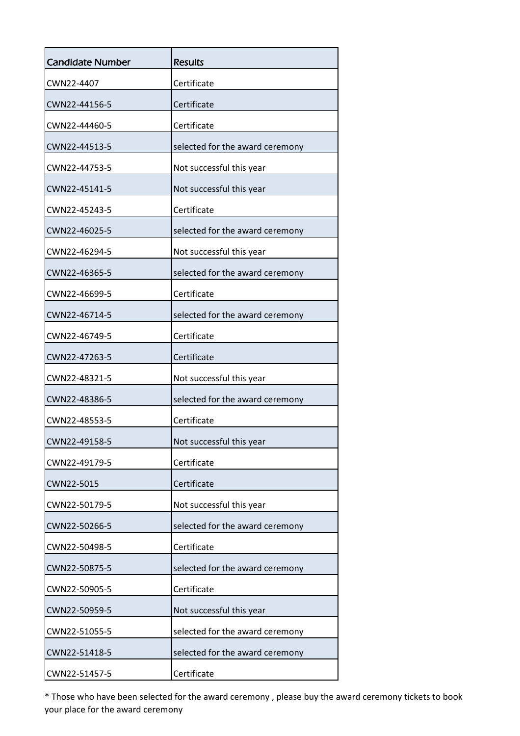| <b>Candidate Number</b> | Results                         |
|-------------------------|---------------------------------|
| CWN22-4407              | Certificate                     |
| CWN22-44156-5           | Certificate                     |
| CWN22-44460-5           | Certificate                     |
| CWN22-44513-5           | selected for the award ceremony |
| CWN22-44753-5           | Not successful this year        |
| CWN22-45141-5           | Not successful this year        |
| CWN22-45243-5           | Certificate                     |
| CWN22-46025-5           | selected for the award ceremony |
| CWN22-46294-5           | Not successful this year        |
| CWN22-46365-5           | selected for the award ceremony |
| CWN22-46699-5           | Certificate                     |
| CWN22-46714-5           | selected for the award ceremony |
| CWN22-46749-5           | Certificate                     |
| CWN22-47263-5           | Certificate                     |
| CWN22-48321-5           | Not successful this year        |
| CWN22-48386-5           | selected for the award ceremony |
| CWN22-48553-5           | Certificate                     |
| CWN22-49158-5           | Not successful this year        |
| CWN22-49179-5           | Certificate                     |
| CWN22-5015              | Certificate                     |
| CWN22-50179-5           | Not successful this year        |
| CWN22-50266-5           | selected for the award ceremony |
| CWN22-50498-5           | Certificate                     |
| CWN22-50875-5           | selected for the award ceremony |
| CWN22-50905-5           | Certificate                     |
| CWN22-50959-5           | Not successful this year        |
| CWN22-51055-5           | selected for the award ceremony |
| CWN22-51418-5           | selected for the award ceremony |
| CWN22-51457-5           | Certificate                     |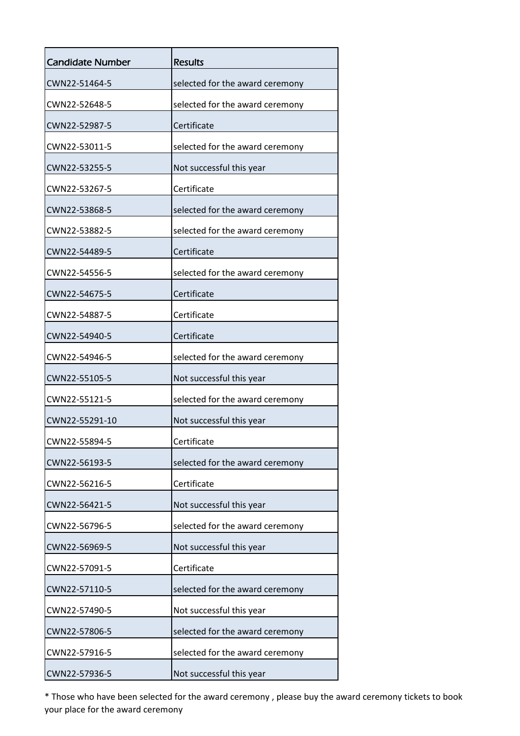| <b>Candidate Number</b> | <b>Results</b>                  |
|-------------------------|---------------------------------|
| CWN22-51464-5           | selected for the award ceremony |
| CWN22-52648-5           | selected for the award ceremony |
| CWN22-52987-5           | Certificate                     |
| CWN22-53011-5           | selected for the award ceremony |
| CWN22-53255-5           | Not successful this year        |
| CWN22-53267-5           | Certificate                     |
| CWN22-53868-5           | selected for the award ceremony |
| CWN22-53882-5           | selected for the award ceremony |
| CWN22-54489-5           | Certificate                     |
| CWN22-54556-5           | selected for the award ceremony |
| CWN22-54675-5           | Certificate                     |
| CWN22-54887-5           | Certificate                     |
| CWN22-54940-5           | Certificate                     |
| CWN22-54946-5           | selected for the award ceremony |
| CWN22-55105-5           | Not successful this year        |
| CWN22-55121-5           | selected for the award ceremony |
| CWN22-55291-10          | Not successful this year        |
| CWN22-55894-5           | Certificate                     |
| CWN22-56193-5           | selected for the award ceremony |
| CWN22-56216-5           | Certificate                     |
| CWN22-56421-5           | Not successful this year        |
| CWN22-56796-5           | selected for the award ceremony |
| CWN22-56969-5           | Not successful this year        |
| CWN22-57091-5           | Certificate                     |
| CWN22-57110-5           | selected for the award ceremony |
| CWN22-57490-5           | Not successful this year        |
| CWN22-57806-5           | selected for the award ceremony |
| CWN22-57916-5           | selected for the award ceremony |
| CWN22-57936-5           | Not successful this year        |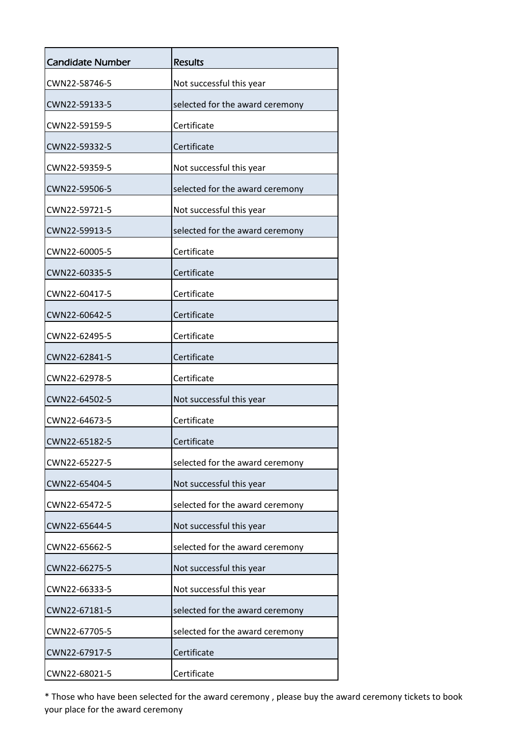| <b>Candidate Number</b> | <b>Results</b>                  |
|-------------------------|---------------------------------|
| CWN22-58746-5           | Not successful this year        |
| CWN22-59133-5           | selected for the award ceremony |
| CWN22-59159-5           | Certificate                     |
| CWN22-59332-5           | Certificate                     |
| CWN22-59359-5           | Not successful this year        |
| CWN22-59506-5           | selected for the award ceremony |
| CWN22-59721-5           | Not successful this year        |
| CWN22-59913-5           | selected for the award ceremony |
| CWN22-60005-5           | Certificate                     |
| CWN22-60335-5           | Certificate                     |
| CWN22-60417-5           | Certificate                     |
| CWN22-60642-5           | Certificate                     |
| CWN22-62495-5           | Certificate                     |
| CWN22-62841-5           | Certificate                     |
| CWN22-62978-5           | Certificate                     |
| CWN22-64502-5           | Not successful this year        |
| CWN22-64673-5           | Certificate                     |
| CWN22-65182-5           | Certificate                     |
| CWN22-65227-5           | selected for the award ceremony |
| CWN22-65404-5           | Not successful this year        |
| CWN22-65472-5           | selected for the award ceremony |
| CWN22-65644-5           | Not successful this year        |
| CWN22-65662-5           | selected for the award ceremony |
| CWN22-66275-5           | Not successful this year        |
| CWN22-66333-5           | Not successful this year        |
| CWN22-67181-5           | selected for the award ceremony |
| CWN22-67705-5           | selected for the award ceremony |
| CWN22-67917-5           | Certificate                     |
| CWN22-68021-5           | Certificate                     |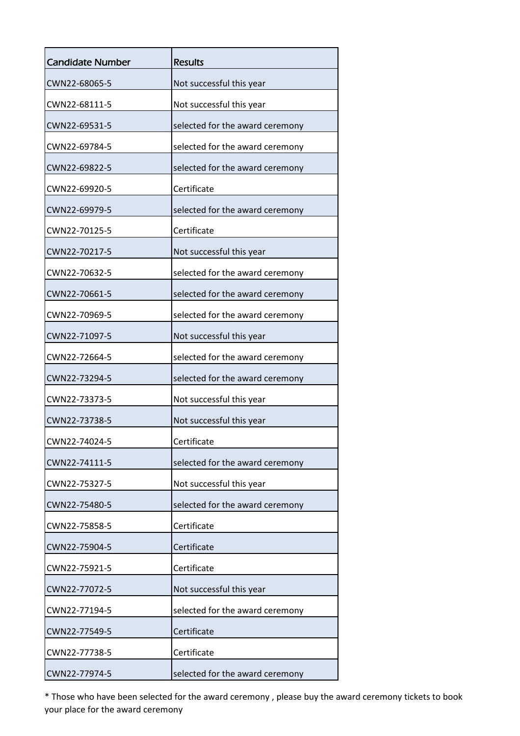| <b>Candidate Number</b> | <b>Results</b>                  |
|-------------------------|---------------------------------|
| CWN22-68065-5           | Not successful this year        |
| CWN22-68111-5           | Not successful this year        |
| CWN22-69531-5           | selected for the award ceremony |
| CWN22-69784-5           | selected for the award ceremony |
| CWN22-69822-5           | selected for the award ceremony |
| CWN22-69920-5           | Certificate                     |
| CWN22-69979-5           | selected for the award ceremony |
| CWN22-70125-5           | Certificate                     |
| CWN22-70217-5           | Not successful this year        |
| CWN22-70632-5           | selected for the award ceremony |
| CWN22-70661-5           | selected for the award ceremony |
| CWN22-70969-5           | selected for the award ceremony |
| CWN22-71097-5           | Not successful this year        |
| CWN22-72664-5           | selected for the award ceremony |
| CWN22-73294-5           | selected for the award ceremony |
| CWN22-73373-5           | Not successful this year        |
| CWN22-73738-5           | Not successful this year        |
| CWN22-74024-5           | Certificate                     |
| CWN22-74111-5           | selected for the award ceremony |
| CWN22-75327-5           | Not successful this year        |
| CWN22-75480-5           | selected for the award ceremony |
| CWN22-75858-5           | Certificate                     |
| CWN22-75904-5           | Certificate                     |
| CWN22-75921-5           | Certificate                     |
| CWN22-77072-5           | Not successful this year        |
| CWN22-77194-5           | selected for the award ceremony |
| CWN22-77549-5           | Certificate                     |
| CWN22-77738-5           | Certificate                     |
| CWN22-77974-5           | selected for the award ceremony |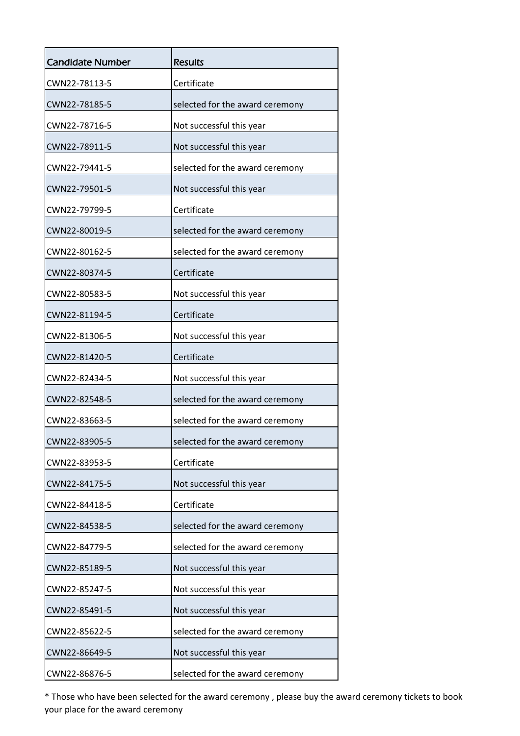| <b>Candidate Number</b> | Results                         |
|-------------------------|---------------------------------|
| CWN22-78113-5           | Certificate                     |
| CWN22-78185-5           | selected for the award ceremony |
| CWN22-78716-5           | Not successful this year        |
| CWN22-78911-5           | Not successful this year        |
| CWN22-79441-5           | selected for the award ceremony |
| CWN22-79501-5           | Not successful this year        |
| CWN22-79799-5           | Certificate                     |
| CWN22-80019-5           | selected for the award ceremony |
| CWN22-80162-5           | selected for the award ceremony |
| CWN22-80374-5           | Certificate                     |
| CWN22-80583-5           | Not successful this year        |
| CWN22-81194-5           | Certificate                     |
| CWN22-81306-5           | Not successful this year        |
| CWN22-81420-5           | Certificate                     |
| CWN22-82434-5           | Not successful this year        |
| CWN22-82548-5           | selected for the award ceremony |
| CWN22-83663-5           | selected for the award ceremony |
| CWN22-83905-5           | selected for the award ceremony |
| CWN22-83953-5           | Certificate                     |
| CWN22-84175-5           | Not successful this year        |
| CWN22-84418-5           | Certificate                     |
| CWN22-84538-5           | selected for the award ceremony |
| CWN22-84779-5           | selected for the award ceremony |
| CWN22-85189-5           | Not successful this year        |
| CWN22-85247-5           | Not successful this year        |
| CWN22-85491-5           | Not successful this year        |
| CWN22-85622-5           | selected for the award ceremony |
| CWN22-86649-5           | Not successful this year        |
| CWN22-86876-5           | selected for the award ceremony |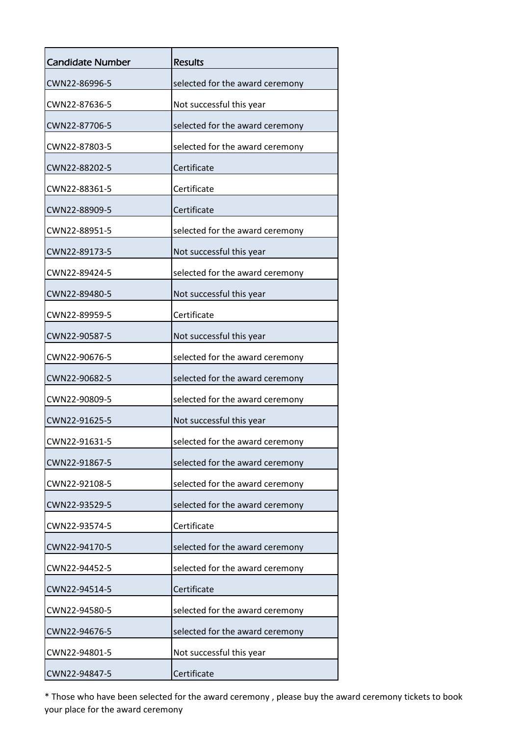| <b>Candidate Number</b> | <b>Results</b>                  |
|-------------------------|---------------------------------|
| CWN22-86996-5           | selected for the award ceremony |
| CWN22-87636-5           | Not successful this year        |
| CWN22-87706-5           | selected for the award ceremony |
| CWN22-87803-5           | selected for the award ceremony |
| CWN22-88202-5           | Certificate                     |
| CWN22-88361-5           | Certificate                     |
| CWN22-88909-5           | Certificate                     |
| CWN22-88951-5           | selected for the award ceremony |
| CWN22-89173-5           | Not successful this year        |
| CWN22-89424-5           | selected for the award ceremony |
| CWN22-89480-5           | Not successful this year        |
| CWN22-89959-5           | Certificate                     |
| CWN22-90587-5           | Not successful this year        |
| CWN22-90676-5           | selected for the award ceremony |
| CWN22-90682-5           | selected for the award ceremony |
| CWN22-90809-5           | selected for the award ceremony |
| CWN22-91625-5           | Not successful this year        |
| CWN22-91631-5           | selected for the award ceremony |
| CWN22-91867-5           | selected for the award ceremony |
| CWN22-92108-5           | selected for the award ceremony |
| CWN22-93529-5           | selected for the award ceremony |
| CWN22-93574-5           | Certificate                     |
| CWN22-94170-5           | selected for the award ceremony |
| CWN22-94452-5           | selected for the award ceremony |
| CWN22-94514-5           | Certificate                     |
| CWN22-94580-5           | selected for the award ceremony |
| CWN22-94676-5           | selected for the award ceremony |
| CWN22-94801-5           | Not successful this year        |
| CWN22-94847-5           | Certificate                     |